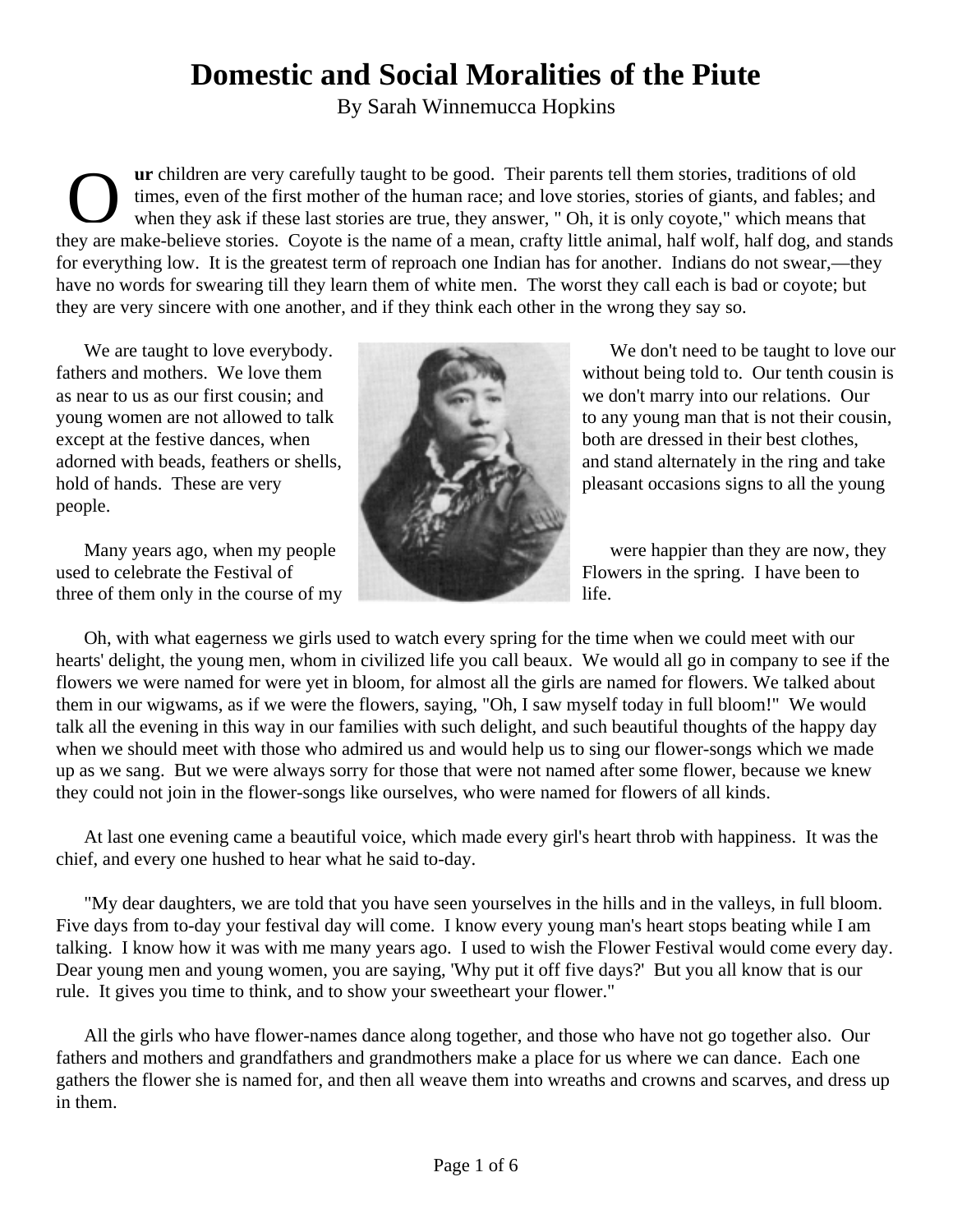## **Domestic and Social Moralities of the Piute**

By Sarah Winnemucca Hopkins

**O** times, even of the first mother of the human race; and love stories, stories of giants, and fables; and when they ask if these last stories are true, they answer, "Oh, it is only coyote," which means that they are make **ur** children are very carefully taught to be good. Their parents tell them stories, traditions of old times, even of the first mother of the human race; and love stories, stories of giants, and fables; and when they ask if these last stories are true, they answer, " Oh, it is only coyote," which means that for everything low. It is the greatest term of reproach one Indian has for another. Indians do not swear,—they have no words for swearing till they learn them of white men. The worst they call each is bad or coyote; but they are very sincere with one another, and if they think each other in the wrong they say so.

except at the festive dances, when both are dressed in their best clothes, people.

used to celebrate the Festival of Flowers in the spring. I have been to three of them only in the course of my life.



We are taught to love everybody. We don't need to be taught to love our fathers and mothers. We love them without being told to. Our tenth cousin is as near to us as our first cousin; and we don't marry into our relations. Our young women are not allowed to talk to any young man that is not their cousin, adorned with beads, feathers or shells, and stand alternately in the ring and take hold of hands. These are very pleasant occasions signs to all the young

Many years ago, when my people were happier than they are now, they

Oh, with what eagerness we girls used to watch every spring for the time when we could meet with our hearts' delight, the young men, whom in civilized life you call beaux. We would all go in company to see if the flowers we were named for were yet in bloom, for almost all the girls are named for flowers. We talked about them in our wigwams, as if we were the flowers, saying, "Oh, I saw myself today in full bloom!" We would talk all the evening in this way in our families with such delight, and such beautiful thoughts of the happy day when we should meet with those who admired us and would help us to sing our flower-songs which we made up as we sang. But we were always sorry for those that were not named after some flower, because we knew they could not join in the flower-songs like ourselves, who were named for flowers of all kinds.

At last one evening came a beautiful voice, which made every girl's heart throb with happiness. It was the chief, and every one hushed to hear what he said to-day.

"My dear daughters, we are told that you have seen yourselves in the hills and in the valleys, in full bloom. Five days from to-day your festival day will come. I know every young man's heart stops beating while I am talking. I know how it was with me many years ago. I used to wish the Flower Festival would come every day. Dear young men and young women, you are saying, 'Why put it off five days?' But you all know that is our rule. It gives you time to think, and to show your sweetheart your flower."

All the girls who have flower-names dance along together, and those who have not go together also. Our fathers and mothers and grandfathers and grandmothers make a place for us where we can dance. Each one gathers the flower she is named for, and then all weave them into wreaths and crowns and scarves, and dress up in them.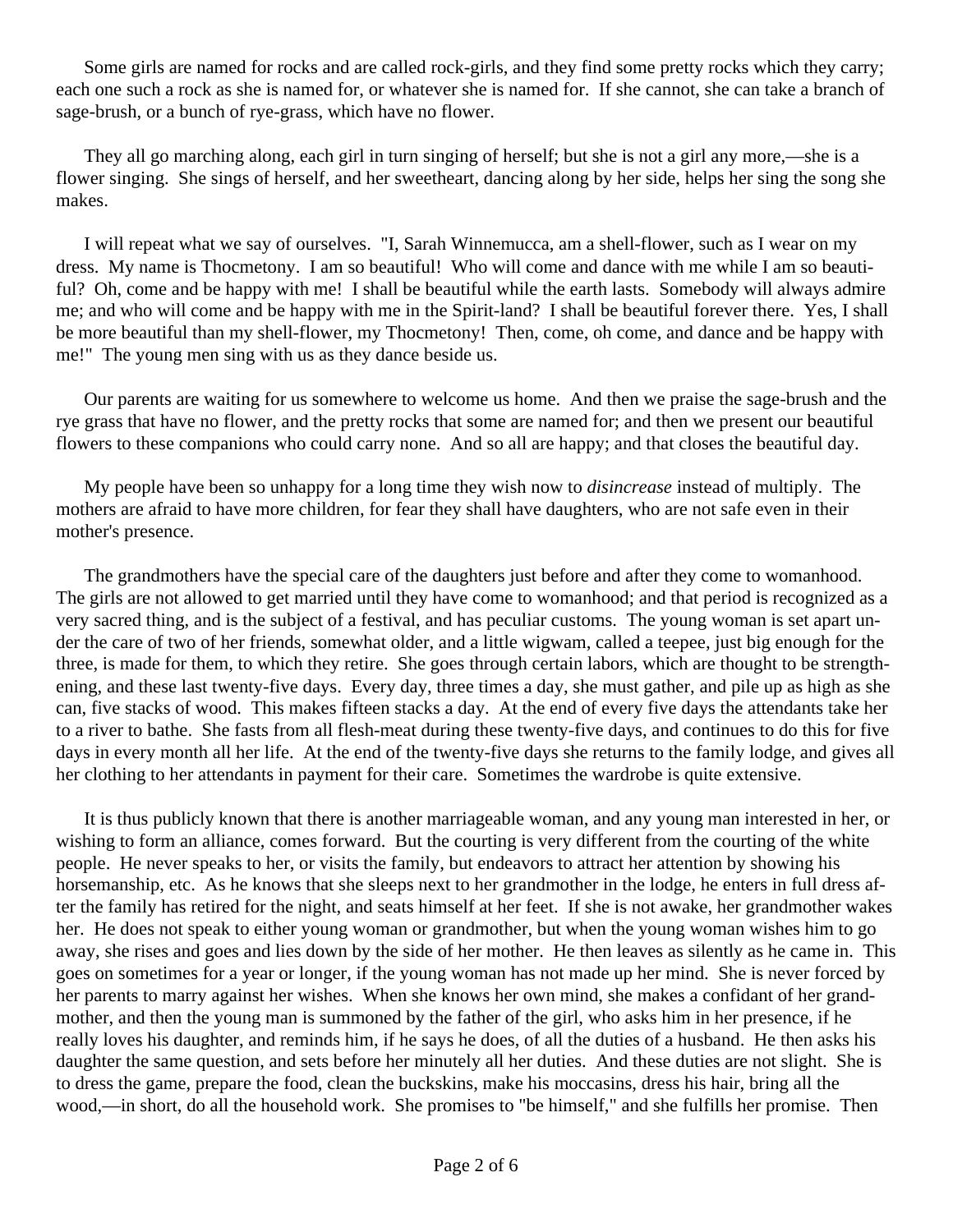Some girls are named for rocks and are called rock-girls, and they find some pretty rocks which they carry; each one such a rock as she is named for, or whatever she is named for. If she cannot, she can take a branch of sage-brush, or a bunch of rye-grass, which have no flower.

They all go marching along, each girl in turn singing of herself; but she is not a girl any more,—she is a flower singing. She sings of herself, and her sweetheart, dancing along by her side, helps her sing the song she makes.

I will repeat what we say of ourselves. "I, Sarah Winnemucca, am a shell-flower, such as I wear on my dress. My name is Thocmetony. I am so beautiful! Who will come and dance with me while I am so beautiful? Oh, come and be happy with me! I shall be beautiful while the earth lasts. Somebody will always admire me; and who will come and be happy with me in the Spirit-land? I shall be beautiful forever there. Yes, I shall be more beautiful than my shell-flower, my Thocmetony! Then, come, oh come, and dance and be happy with me!" The young men sing with us as they dance beside us.

Our parents are waiting for us somewhere to welcome us home. And then we praise the sage-brush and the rye grass that have no flower, and the pretty rocks that some are named for; and then we present our beautiful flowers to these companions who could carry none. And so all are happy; and that closes the beautiful day.

My people have been so unhappy for a long time they wish now to *disincrease* instead of multiply. The mothers are afraid to have more children, for fear they shall have daughters, who are not safe even in their mother's presence.

The grandmothers have the special care of the daughters just before and after they come to womanhood. The girls are not allowed to get married until they have come to womanhood; and that period is recognized as a very sacred thing, and is the subject of a festival, and has peculiar customs. The young woman is set apart under the care of two of her friends, somewhat older, and a little wigwam, called a teepee, just big enough for the three, is made for them, to which they retire. She goes through certain labors, which are thought to be strengthening, and these last twenty-five days. Every day, three times a day, she must gather, and pile up as high as she can, five stacks of wood. This makes fifteen stacks a day. At the end of every five days the attendants take her to a river to bathe. She fasts from all flesh-meat during these twenty-five days, and continues to do this for five days in every month all her life. At the end of the twenty-five days she returns to the family lodge, and gives all her clothing to her attendants in payment for their care. Sometimes the wardrobe is quite extensive.

It is thus publicly known that there is another marriageable woman, and any young man interested in her, or wishing to form an alliance, comes forward. But the courting is very different from the courting of the white people. He never speaks to her, or visits the family, but endeavors to attract her attention by showing his horsemanship, etc. As he knows that she sleeps next to her grandmother in the lodge, he enters in full dress after the family has retired for the night, and seats himself at her feet. If she is not awake, her grandmother wakes her. He does not speak to either young woman or grandmother, but when the young woman wishes him to go away, she rises and goes and lies down by the side of her mother. He then leaves as silently as he came in. This goes on sometimes for a year or longer, if the young woman has not made up her mind. She is never forced by her parents to marry against her wishes. When she knows her own mind, she makes a confidant of her grandmother, and then the young man is summoned by the father of the girl, who asks him in her presence, if he really loves his daughter, and reminds him, if he says he does, of all the duties of a husband. He then asks his daughter the same question, and sets before her minutely all her duties. And these duties are not slight. She is to dress the game, prepare the food, clean the buckskins, make his moccasins, dress his hair, bring all the wood,—in short, do all the household work. She promises to "be himself," and she fulfills her promise. Then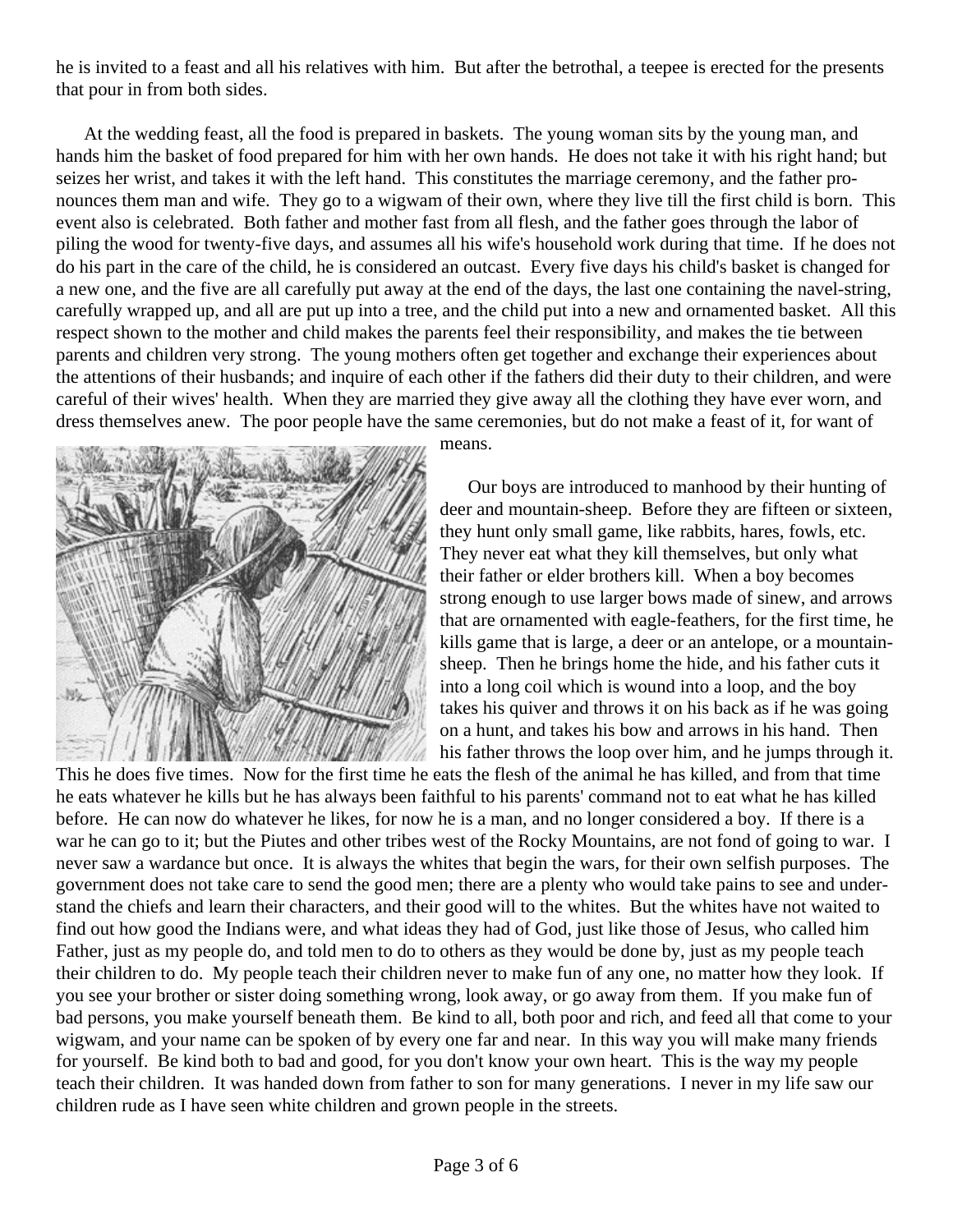he is invited to a feast and all his relatives with him. But after the betrothal, a teepee is erected for the presents that pour in from both sides.

At the wedding feast, all the food is prepared in baskets. The young woman sits by the young man, and hands him the basket of food prepared for him with her own hands. He does not take it with his right hand; but seizes her wrist, and takes it with the left hand. This constitutes the marriage ceremony, and the father pronounces them man and wife. They go to a wigwam of their own, where they live till the first child is born. This event also is celebrated. Both father and mother fast from all flesh, and the father goes through the labor of piling the wood for twenty-five days, and assumes all his wife's household work during that time. If he does not do his part in the care of the child, he is considered an outcast. Every five days his child's basket is changed for a new one, and the five are all carefully put away at the end of the days, the last one containing the navel-string, carefully wrapped up, and all are put up into a tree, and the child put into a new and ornamented basket. All this respect shown to the mother and child makes the parents feel their responsibility, and makes the tie between parents and children very strong. The young mothers often get together and exchange their experiences about the attentions of their husbands; and inquire of each other if the fathers did their duty to their children, and were careful of their wives' health. When they are married they give away all the clothing they have ever worn, and dress themselves anew. The poor people have the same ceremonies, but do not make a feast of it, for want of



means.

Our boys are introduced to manhood by their hunting of deer and mountain-sheep. Before they are fifteen or sixteen, they hunt only small game, like rabbits, hares, fowls, etc. They never eat what they kill themselves, but only what their father or elder brothers kill. When a boy becomes strong enough to use larger bows made of sinew, and arrows that are ornamented with eagle-feathers, for the first time, he kills game that is large, a deer or an antelope, or a mountainsheep. Then he brings home the hide, and his father cuts it into a long coil which is wound into a loop, and the boy takes his quiver and throws it on his back as if he was going on a hunt, and takes his bow and arrows in his hand. Then his father throws the loop over him, and he jumps through it.

This he does five times. Now for the first time he eats the flesh of the animal he has killed, and from that time he eats whatever he kills but he has always been faithful to his parents' command not to eat what he has killed before. He can now do whatever he likes, for now he is a man, and no longer considered a boy. If there is a war he can go to it; but the Piutes and other tribes west of the Rocky Mountains, are not fond of going to war. I never saw a wardance but once. It is always the whites that begin the wars, for their own selfish purposes. The government does not take care to send the good men; there are a plenty who would take pains to see and understand the chiefs and learn their characters, and their good will to the whites. But the whites have not waited to find out how good the Indians were, and what ideas they had of God, just like those of Jesus, who called him Father, just as my people do, and told men to do to others as they would be done by, just as my people teach their children to do. My people teach their children never to make fun of any one, no matter how they look. If you see your brother or sister doing something wrong, look away, or go away from them. If you make fun of bad persons, you make yourself beneath them. Be kind to all, both poor and rich, and feed all that come to your wigwam, and your name can be spoken of by every one far and near. In this way you will make many friends for yourself. Be kind both to bad and good, for you don't know your own heart. This is the way my people teach their children. It was handed down from father to son for many generations. I never in my life saw our children rude as I have seen white children and grown people in the streets.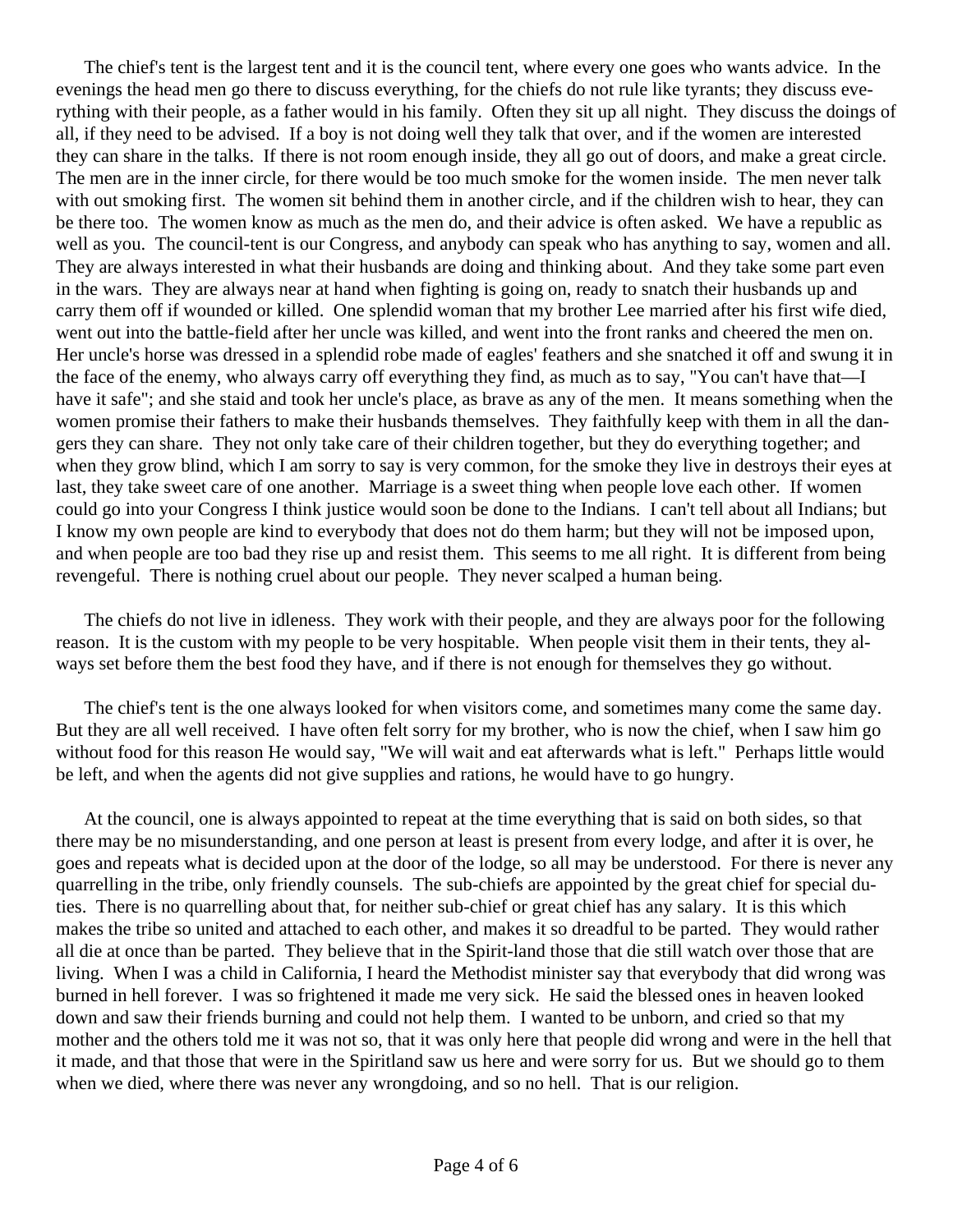The chief's tent is the largest tent and it is the council tent, where every one goes who wants advice. In the evenings the head men go there to discuss everything, for the chiefs do not rule like tyrants; they discuss everything with their people, as a father would in his family. Often they sit up all night. They discuss the doings of all, if they need to be advised. If a boy is not doing well they talk that over, and if the women are interested they can share in the talks. If there is not room enough inside, they all go out of doors, and make a great circle. The men are in the inner circle, for there would be too much smoke for the women inside. The men never talk with out smoking first. The women sit behind them in another circle, and if the children wish to hear, they can be there too. The women know as much as the men do, and their advice is often asked. We have a republic as well as you. The council-tent is our Congress, and anybody can speak who has anything to say, women and all. They are always interested in what their husbands are doing and thinking about. And they take some part even in the wars. They are always near at hand when fighting is going on, ready to snatch their husbands up and carry them off if wounded or killed. One splendid woman that my brother Lee married after his first wife died, went out into the battle-field after her uncle was killed, and went into the front ranks and cheered the men on. Her uncle's horse was dressed in a splendid robe made of eagles' feathers and she snatched it off and swung it in the face of the enemy, who always carry off everything they find, as much as to say, "You can't have that—I have it safe"; and she staid and took her uncle's place, as brave as any of the men. It means something when the women promise their fathers to make their husbands themselves. They faithfully keep with them in all the dangers they can share. They not only take care of their children together, but they do everything together; and when they grow blind, which I am sorry to say is very common, for the smoke they live in destroys their eyes at last, they take sweet care of one another. Marriage is a sweet thing when people love each other. If women could go into your Congress I think justice would soon be done to the Indians. I can't tell about all Indians; but I know my own people are kind to everybody that does not do them harm; but they will not be imposed upon, and when people are too bad they rise up and resist them. This seems to me all right. It is different from being revengeful. There is nothing cruel about our people. They never scalped a human being.

The chiefs do not live in idleness. They work with their people, and they are always poor for the following reason. It is the custom with my people to be very hospitable. When people visit them in their tents, they always set before them the best food they have, and if there is not enough for themselves they go without.

The chief's tent is the one always looked for when visitors come, and sometimes many come the same day. But they are all well received. I have often felt sorry for my brother, who is now the chief, when I saw him go without food for this reason He would say, "We will wait and eat afterwards what is left." Perhaps little would be left, and when the agents did not give supplies and rations, he would have to go hungry.

At the council, one is always appointed to repeat at the time everything that is said on both sides, so that there may be no misunderstanding, and one person at least is present from every lodge, and after it is over, he goes and repeats what is decided upon at the door of the lodge, so all may be understood. For there is never any quarrelling in the tribe, only friendly counsels. The sub-chiefs are appointed by the great chief for special duties. There is no quarrelling about that, for neither sub-chief or great chief has any salary. It is this which makes the tribe so united and attached to each other, and makes it so dreadful to be parted. They would rather all die at once than be parted. They believe that in the Spirit-land those that die still watch over those that are living. When I was a child in California, I heard the Methodist minister say that everybody that did wrong was burned in hell forever. I was so frightened it made me very sick. He said the blessed ones in heaven looked down and saw their friends burning and could not help them. I wanted to be unborn, and cried so that my mother and the others told me it was not so, that it was only here that people did wrong and were in the hell that it made, and that those that were in the Spiritland saw us here and were sorry for us. But we should go to them when we died, where there was never any wrongdoing, and so no hell. That is our religion.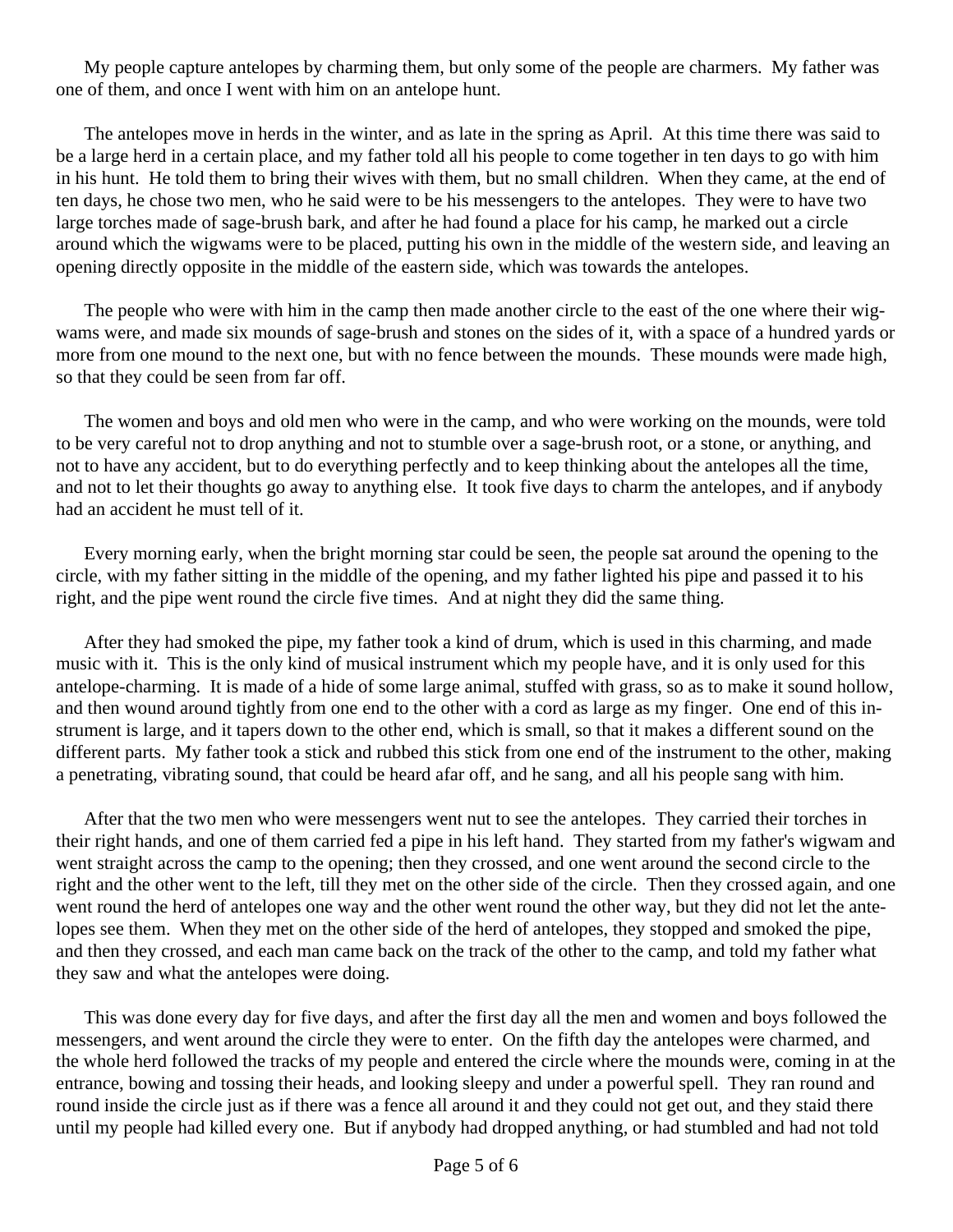My people capture antelopes by charming them, but only some of the people are charmers. My father was one of them, and once I went with him on an antelope hunt.

The antelopes move in herds in the winter, and as late in the spring as April. At this time there was said to be a large herd in a certain place, and my father told all his people to come together in ten days to go with him in his hunt. He told them to bring their wives with them, but no small children. When they came, at the end of ten days, he chose two men, who he said were to be his messengers to the antelopes. They were to have two large torches made of sage-brush bark, and after he had found a place for his camp, he marked out a circle around which the wigwams were to be placed, putting his own in the middle of the western side, and leaving an opening directly opposite in the middle of the eastern side, which was towards the antelopes.

The people who were with him in the camp then made another circle to the east of the one where their wigwams were, and made six mounds of sage-brush and stones on the sides of it, with a space of a hundred yards or more from one mound to the next one, but with no fence between the mounds. These mounds were made high, so that they could be seen from far off.

The women and boys and old men who were in the camp, and who were working on the mounds, were told to be very careful not to drop anything and not to stumble over a sage-brush root, or a stone, or anything, and not to have any accident, but to do everything perfectly and to keep thinking about the antelopes all the time, and not to let their thoughts go away to anything else. It took five days to charm the antelopes, and if anybody had an accident he must tell of it.

Every morning early, when the bright morning star could be seen, the people sat around the opening to the circle, with my father sitting in the middle of the opening, and my father lighted his pipe and passed it to his right, and the pipe went round the circle five times. And at night they did the same thing.

After they had smoked the pipe, my father took a kind of drum, which is used in this charming, and made music with it. This is the only kind of musical instrument which my people have, and it is only used for this antelope-charming. It is made of a hide of some large animal, stuffed with grass, so as to make it sound hollow, and then wound around tightly from one end to the other with a cord as large as my finger. One end of this instrument is large, and it tapers down to the other end, which is small, so that it makes a different sound on the different parts. My father took a stick and rubbed this stick from one end of the instrument to the other, making a penetrating, vibrating sound, that could be heard afar off, and he sang, and all his people sang with him.

After that the two men who were messengers went nut to see the antelopes. They carried their torches in their right hands, and one of them carried fed a pipe in his left hand. They started from my father's wigwam and went straight across the camp to the opening; then they crossed, and one went around the second circle to the right and the other went to the left, till they met on the other side of the circle. Then they crossed again, and one went round the herd of antelopes one way and the other went round the other way, but they did not let the antelopes see them. When they met on the other side of the herd of antelopes, they stopped and smoked the pipe, and then they crossed, and each man came back on the track of the other to the camp, and told my father what they saw and what the antelopes were doing.

This was done every day for five days, and after the first day all the men and women and boys followed the messengers, and went around the circle they were to enter. On the fifth day the antelopes were charmed, and the whole herd followed the tracks of my people and entered the circle where the mounds were, coming in at the entrance, bowing and tossing their heads, and looking sleepy and under a powerful spell. They ran round and round inside the circle just as if there was a fence all around it and they could not get out, and they staid there until my people had killed every one. But if anybody had dropped anything, or had stumbled and had not told